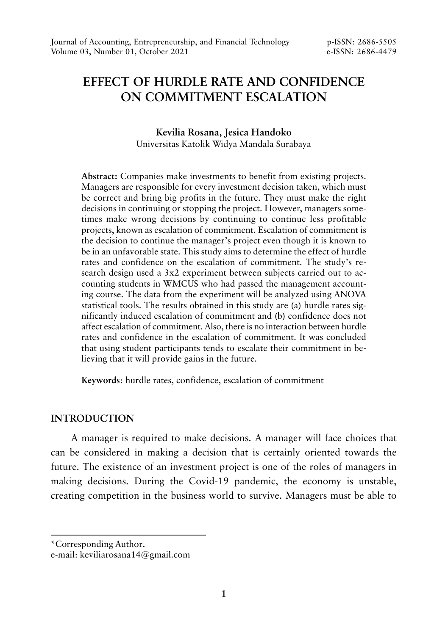# **EFFECT OF HURDLE RATE AND CONFIDENCE ON COMMITMENT ESCALATION**

#### **Kevilia Rosana, Jesica Handoko** Universitas Katolik Widya Mandala Surabaya

**Abstract:** Companies make investments to benefit from existing projects. Managers are responsible for every investment decision taken, which must be correct and bring big profits in the future. They must make the right decisions in continuing or stopping the project. However, managers sometimes make wrong decisions by continuing to continue less profitable projects, known as escalation of commitment. Escalation of commitment is the decision to continue the manager's project even though it is known to be in an unfavorable state. This study aims to determine the effect of hurdle rates and confidence on the escalation of commitment. The study's research design used a 3x2 experiment between subjects carried out to accounting students in WMCUS who had passed the management accounting course. The data from the experiment will be analyzed using ANOVA statistical tools. The results obtained in this study are (a) hurdle rates significantly induced escalation of commitment and (b) confidence does not affect escalation of commitment. Also, there is no interaction between hurdle rates and confidence in the escalation of commitment. It was concluded that using student participants tends to escalate their commitment in believing that it will provide gains in the future.

**Keywords**: hurdle rates, confidence, escalation of commitment

### **INTRODUCTION**

A manager is required to make decisions. A manager will face choices that can be considered in making a decision that is certainly oriented towards the future. The existence of an investment project is one of the roles of managers in making decisions. During the Covid-19 pandemic, the economy is unstable, creating competition in the business world to survive. Managers must be able to

<sup>\*</sup>Corresponding Author**.**

e-mail: keviliarosana14@gmail.com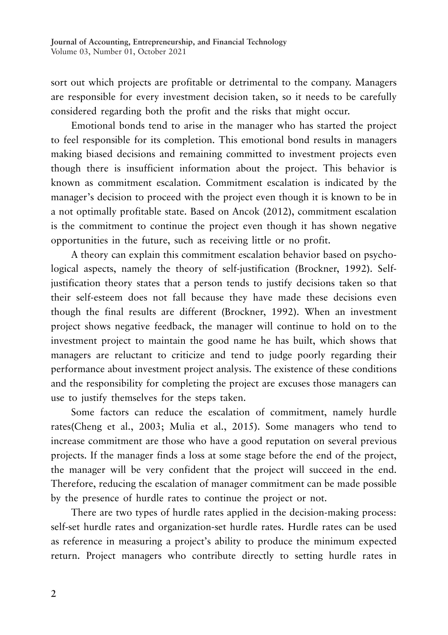sort out which projects are profitable or detrimental to the company. Managers are responsible for every investment decision taken, so it needs to be carefully considered regarding both the profit and the risks that might occur.

Emotional bonds tend to arise in the manager who has started the project to feel responsible for its completion. This emotional bond results in managers making biased decisions and remaining committed to investment projects even though there is insufficient information about the project. This behavior is known as commitment escalation. Commitment escalation is indicated by the manager's decision to proceed with the project even though it is known to be in a not optimally profitable state. Based on Ancok (2012), commitment escalation is the commitment to continue the project even though it has shown negative opportunities in the future, such as receiving little or no profit.

A theory can explain this commitment escalation behavior based on psychological aspects, namely the theory of self-justification (Brockner, 1992). Selfjustification theory states that a person tends to justify decisions taken so that their self-esteem does not fall because they have made these decisions even though the final results are different (Brockner, 1992). When an investment project shows negative feedback, the manager will continue to hold on to the investment project to maintain the good name he has built, which shows that managers are reluctant to criticize and tend to judge poorly regarding their performance about investment project analysis. The existence of these conditions and the responsibility for completing the project are excuses those managers can use to justify themselves for the steps taken.

Some factors can reduce the escalation of commitment, namely hurdle rates(Cheng et al., 2003; Mulia et al., 2015). Some managers who tend to increase commitment are those who have a good reputation on several previous projects. If the manager finds a loss at some stage before the end of the project, the manager will be very confident that the project will succeed in the end. Therefore, reducing the escalation of manager commitment can be made possible by the presence of hurdle rates to continue the project or not.

There are two types of hurdle rates applied in the decision-making process: self-set hurdle rates and organization-set hurdle rates. Hurdle rates can be used as reference in measuring a project's ability to produce the minimum expected return. Project managers who contribute directly to setting hurdle rates in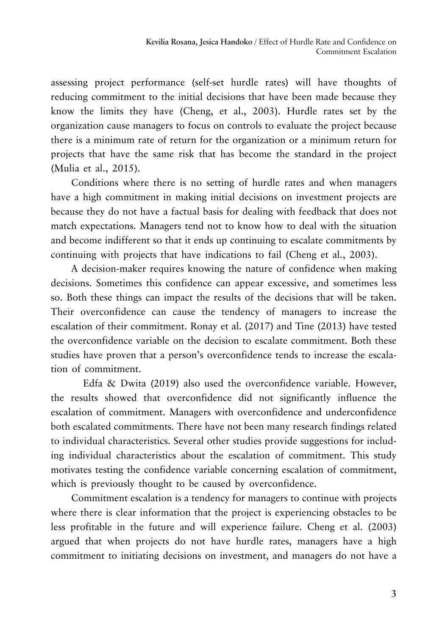assessing project performance (self-set hurdle rates) will have thoughts of reducing commitment to the initial decisions that have been made because they know the limits they have (Cheng, et al., 2003). Hurdle rates set by the organization cause managers to focus on controls to evaluate the project because there is a minimum rate of return for the organization or a minimum return for projects that have the same risk that has become the standard in the project (Mulia et al., 2015).

Conditions where there is no setting of hurdle rates and when managers have a high commitment in making initial decisions on investment projects are because they do not have a factual basis for dealing with feedback that does not match expectations. Managers tend not to know how to deal with the situation and become indifferent so that it ends up continuing to escalate commitments by continuing with projects that have indications to fail (Cheng et al., 2003).

A decision-maker requires knowing the nature of confidence when making decisions. Sometimes this confidence can appear excessive, and sometimes less so. Both these things can impact the results of the decisions that will be taken. Their overconfidence can cause the tendency of managers to increase the escalation of their commitment. Ronay et al. (2017) and Tine (2013) have tested the overconfidence variable on the decision to escalate commitment. Both these studies have proven that a person's overconfidence tends to increase the escalation of commitment.

Edfa & Dwita (2019) also used the overconfidence variable. However, the results showed that overconfidence did not significantly influence the escalation of commitment. Managers with overconfidence and underconfidence both escalated commitments. There have not been many research findings related to individual characteristics. Several other studies provide suggestions for including individual characteristics about the escalation of commitment. This study motivates testing the confidence variable concerning escalation of commitment, which is previously thought to be caused by overconfidence.

Commitment escalation is a tendency for managers to continue with projects where there is clear information that the project is experiencing obstacles to be less profitable in the future and will experience failure. Cheng et al. (2003) argued that when projects do not have hurdle rates, managers have a high commitment to initiating decisions on investment, and managers do not have a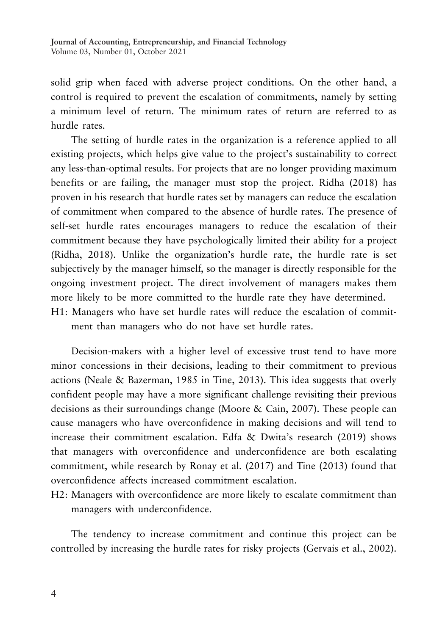solid grip when faced with adverse project conditions. On the other hand, a control is required to prevent the escalation of commitments, namely by setting a minimum level of return. The minimum rates of return are referred to as hurdle rates.

The setting of hurdle rates in the organization is a reference applied to all existing projects, which helps give value to the project's sustainability to correct any less-than-optimal results. For projects that are no longer providing maximum benefits or are failing, the manager must stop the project. Ridha (2018) has proven in his research that hurdle rates set by managers can reduce the escalation of commitment when compared to the absence of hurdle rates. The presence of self-set hurdle rates encourages managers to reduce the escalation of their commitment because they have psychologically limited their ability for a project (Ridha, 2018). Unlike the organization's hurdle rate, the hurdle rate is set subjectively by the manager himself, so the manager is directly responsible for the ongoing investment project. The direct involvement of managers makes them more likely to be more committed to the hurdle rate they have determined. H1: Managers who have set hurdle rates will reduce the escalation of commit-

ment than managers who do not have set hurdle rates.

Decision-makers with a higher level of excessive trust tend to have more minor concessions in their decisions, leading to their commitment to previous actions (Neale & Bazerman, 1985 in Tine, 2013). This idea suggests that overly confident people may have a more significant challenge revisiting their previous decisions as their surroundings change (Moore & Cain, 2007). These people can cause managers who have overconfidence in making decisions and will tend to increase their commitment escalation. Edfa & Dwita's research (2019) shows that managers with overconfidence and underconfidence are both escalating commitment, while research by Ronay et al. (2017) and Tine (2013) found that overconfidence affects increased commitment escalation.

H2: Managers with overconfidence are more likely to escalate commitment than managers with underconfidence.

The tendency to increase commitment and continue this project can be controlled by increasing the hurdle rates for risky projects (Gervais et al., 2002).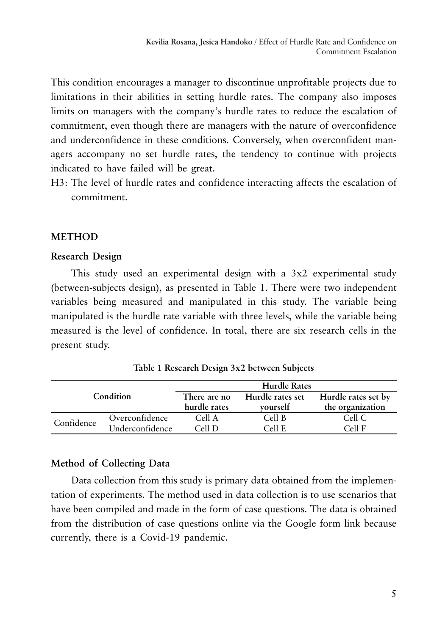This condition encourages a manager to discontinue unprofitable projects due to limitations in their abilities in setting hurdle rates. The company also imposes limits on managers with the company's hurdle rates to reduce the escalation of commitment, even though there are managers with the nature of overconfidence and underconfidence in these conditions. Conversely, when overconfident managers accompany no set hurdle rates, the tendency to continue with projects indicated to have failed will be great.

H3: The level of hurdle rates and confidence interacting affects the escalation of commitment.

### **METHOD**

#### **Research Design**

This study used an experimental design with a 3x2 experimental study (between-subjects design), as presented in Table 1. There were two independent variables being measured and manipulated in this study. The variable being manipulated is the hurdle rate variable with three levels, while the variable being measured is the level of confidence. In total, there are six research cells in the present study.

| Condition  |                 | <b>Hurdle Rates</b> |                  |                     |  |  |
|------------|-----------------|---------------------|------------------|---------------------|--|--|
|            |                 | There are no        | Hurdle rates set | Hurdle rates set by |  |  |
|            |                 | hurdle rates        | vourself         | the organization    |  |  |
| Confidence | Overconfidence  | Cell A              | Cell B           | Cell C              |  |  |
|            | Underconfidence | $\cap$ ell D        | Cell F           | ∩ell F              |  |  |

**Table 1 Research Design 3x2 between Subjects**

#### **Method of Collecting Data**

Data collection from this study is primary data obtained from the implementation of experiments. The method used in data collection is to use scenarios that have been compiled and made in the form of case questions. The data is obtained from the distribution of case questions online via the Google form link because currently, there is a Covid-19 pandemic.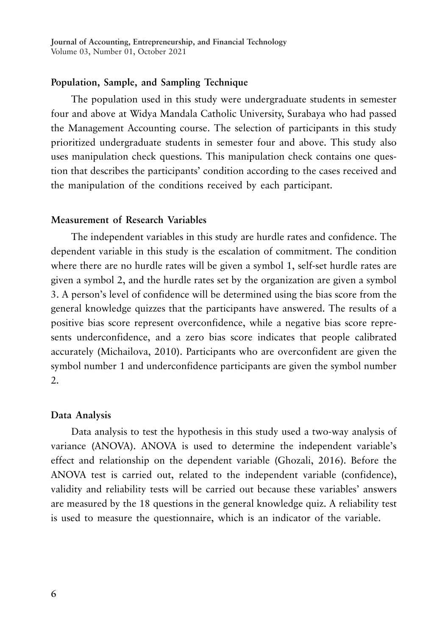#### **Population, Sample, and Sampling Technique**

The population used in this study were undergraduate students in semester four and above at Widya Mandala Catholic University, Surabaya who had passed the Management Accounting course. The selection of participants in this study prioritized undergraduate students in semester four and above. This study also uses manipulation check questions. This manipulation check contains one question that describes the participants' condition according to the cases received and the manipulation of the conditions received by each participant.

#### **Measurement of Research Variables**

The independent variables in this study are hurdle rates and confidence. The dependent variable in this study is the escalation of commitment. The condition where there are no hurdle rates will be given a symbol 1, self-set hurdle rates are given a symbol 2, and the hurdle rates set by the organization are given a symbol 3. A person's level of confidence will be determined using the bias score from the general knowledge quizzes that the participants have answered. The results of a positive bias score represent overconfidence, while a negative bias score represents underconfidence, and a zero bias score indicates that people calibrated accurately (Michailova, 2010). Participants who are overconfident are given the symbol number 1 and underconfidence participants are given the symbol number 2.

#### **Data Analysis**

Data analysis to test the hypothesis in this study used a two-way analysis of variance (ANOVA). ANOVA is used to determine the independent variable's effect and relationship on the dependent variable (Ghozali, 2016). Before the ANOVA test is carried out, related to the independent variable (confidence), validity and reliability tests will be carried out because these variables' answers are measured by the 18 questions in the general knowledge quiz. A reliability test is used to measure the questionnaire, which is an indicator of the variable.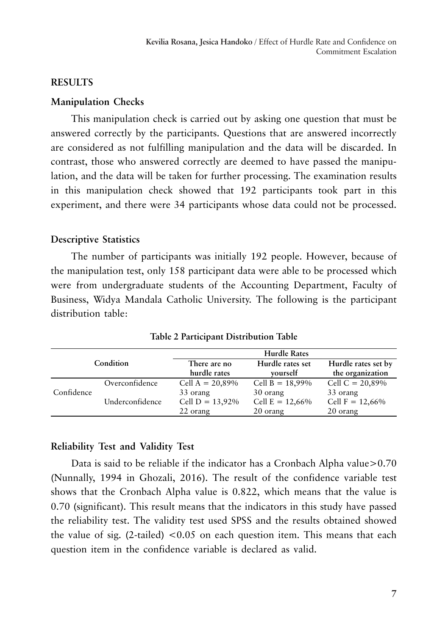#### **RESULTS**

### **Manipulation Checks**

This manipulation check is carried out by asking one question that must be answered correctly by the participants. Questions that are answered incorrectly are considered as not fulfilling manipulation and the data will be discarded. In contrast, those who answered correctly are deemed to have passed the manipulation, and the data will be taken for further processing. The examination results in this manipulation check showed that 192 participants took part in this experiment, and there were 34 participants whose data could not be processed.

### **Descriptive Statistics**

The number of participants was initially 192 people. However, because of the manipulation test, only 158 participant data were able to be processed which were from undergraduate students of the Accounting Department, Faculty of Business, Widya Mandala Catholic University. The following is the participant distribution table:

| Condition  |                 | <b>Hurdle Rates</b> |                    |                     |  |  |  |
|------------|-----------------|---------------------|--------------------|---------------------|--|--|--|
|            |                 | There are no        | Hurdle rates set   | Hurdle rates set by |  |  |  |
|            |                 | hurdle rates        | vourself           | the organization    |  |  |  |
|            | Overconfidence  | Cell A = $20,89\%$  | Cell B = $18,99\%$ | Cell C = $20,89\%$  |  |  |  |
| Confidence |                 | 33 orang            | 30 orang           | 33 orang            |  |  |  |
|            | Underconfidence | Cell $D = 13,92\%$  | Cell E = $12,66\%$ | Cell $F = 12,66\%$  |  |  |  |
|            |                 | 22 orang            | 20 orang           | 20 orang            |  |  |  |

**Table 2 Participant Distribution Table**

## **Reliability Test and Validity Test**

Data is said to be reliable if the indicator has a Cronbach Alpha value > 0.70 (Nunnally, 1994 in Ghozali, 2016). The result of the confidence variable test shows that the Cronbach Alpha value is 0.822, which means that the value is 0.70 (significant). This result means that the indicators in this study have passed the reliability test. The validity test used SPSS and the results obtained showed the value of sig. (2-tailed)  $< 0.05$  on each question item. This means that each question item in the confidence variable is declared as valid.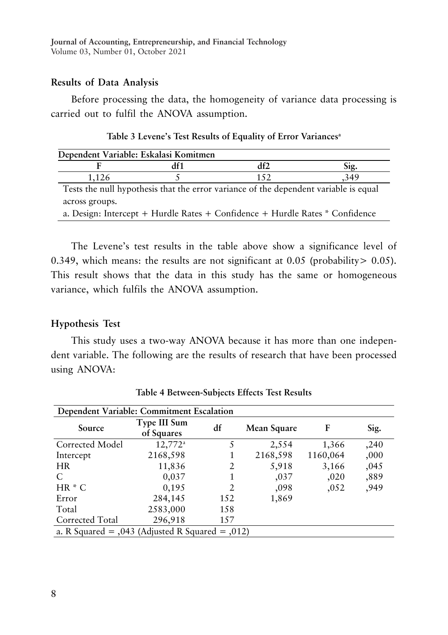## **Results of Data Analysis**

Before processing the data, the homogeneity of variance data processing is carried out to fulfil the ANOVA assumption.

| Dependent Variable: Eskalasi Komitmen                                                |     |     |      |  |  |  |
|--------------------------------------------------------------------------------------|-----|-----|------|--|--|--|
|                                                                                      | df1 | df2 | Sig. |  |  |  |
| 1,126                                                                                |     | 152 | .349 |  |  |  |
| Tests the null hypothesis that the error variance of the dependent variable is equal |     |     |      |  |  |  |
| across groups.                                                                       |     |     |      |  |  |  |
| a. Design: Intercept + Hurdle Rates + Confidence + Hurdle Rates * Confidence         |     |     |      |  |  |  |

**Table 3 Levene's Test Results of Equality of Error Variancesa**

The Levene's test results in the table above show a significance level of 0.349, which means: the results are not significant at 0.05 (probability  $> 0.05$ ). This result shows that the data in this study has the same or homogeneous variance, which fulfils the ANOVA assumption.

### **Hypothesis Test**

This study uses a two-way ANOVA because it has more than one independent variable. The following are the results of research that have been processed using ANOVA:

| Dependent Variable: Commitment Escalation              |                            |                |             |          |      |  |  |
|--------------------------------------------------------|----------------------------|----------------|-------------|----------|------|--|--|
| Source                                                 | Type III Sum<br>of Squares | df             | Mean Square | F        | Sig. |  |  |
| Corrected Model                                        | $12,772^a$                 |                | 2,554       | 1,366    | ,240 |  |  |
| Intercept                                              | 2168,598                   |                | 2168,598    | 1160,064 | ,000 |  |  |
| <b>HR</b>                                              | 11,836                     | 2              | 5,918       | 3,166    | ,045 |  |  |
| C                                                      | 0,037                      |                | ,037        | ,020     | ,889 |  |  |
| $HR * C$                                               | 0,195                      | $\mathfrak{D}$ | ,098        | ,052     | ,949 |  |  |
| Error                                                  | 284,145                    | 152            | 1,869       |          |      |  |  |
| Total                                                  | 2583,000                   | 158            |             |          |      |  |  |
| Corrected Total                                        | 296,918                    | 157            |             |          |      |  |  |
| a. R Squared = $0.043$ (Adjusted R Squared = $0.012$ ) |                            |                |             |          |      |  |  |

**Table 4 Between-Subjects Effects Test Results**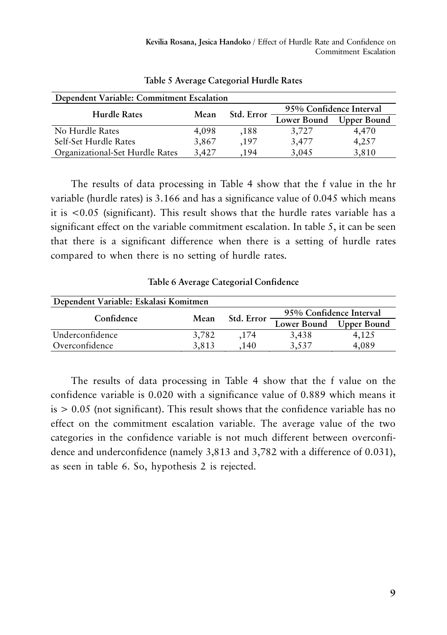| Dependent Variable: Commitment Escalation |        |            |                         |             |  |  |
|-------------------------------------------|--------|------------|-------------------------|-------------|--|--|
| <b>Hurdle Rates</b>                       |        |            | 95% Confidence Interval |             |  |  |
|                                           | Mean   | Std. Error | Lower Bound             | Upper Bound |  |  |
| No Hurdle Rates                           | 4.098  | .188       | 3.727                   | 4.470       |  |  |
| Self-Set Hurdle Rates                     | 3,867  | .197       | 3.477                   | 4,257       |  |  |
| Organizational-Set Hurdle Rates           | 3.42.7 | 194        | 3.045                   | 3.810       |  |  |

**Table 5 Average Categorial Hurdle Rates**

The results of data processing in Table 4 show that the f value in the hr variable (hurdle rates) is 3.166 and has a significance value of 0.045 which means it is <0.05 (significant). This result shows that the hurdle rates variable has a significant effect on the variable commitment escalation. In table 5, it can be seen that there is a significant difference when there is a setting of hurdle rates compared to when there is no setting of hurdle rates.

| Dependent Variable: Eskalasi Komitmen |                    |      |                         |       |  |  |  |
|---------------------------------------|--------------------|------|-------------------------|-------|--|--|--|
| Confidence                            |                    |      | 95% Confidence Interval |       |  |  |  |
|                                       | Std. Error<br>Mean |      | Lower Bound Upper Bound |       |  |  |  |
| Underconfidence                       | 3,782              | .174 | 3,438                   | 4,125 |  |  |  |
| Overconfidence                        | 3,813              | .140 | 3,537                   | 4,089 |  |  |  |

**Table 6 Average Categorial Confidence**

The results of data processing in Table 4 show that the f value on the confidence variable is 0.020 with a significance value of 0.889 which means it  $is > 0.05$  (not significant). This result shows that the confidence variable has no effect on the commitment escalation variable. The average value of the two categories in the confidence variable is not much different between overconfidence and underconfidence (namely 3,813 and 3,782 with a difference of 0.031), as seen in table 6. So, hypothesis 2 is rejected.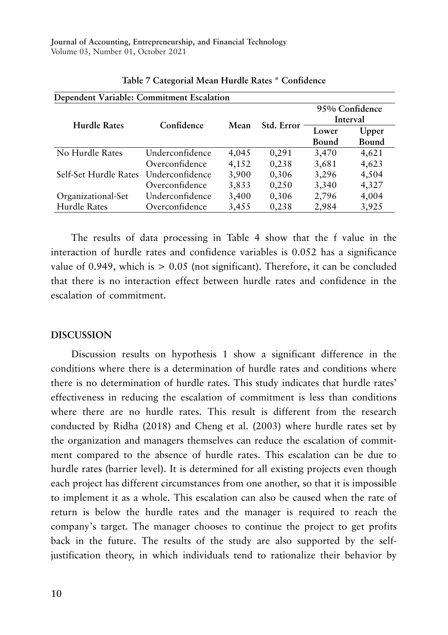| Dependent Variable: Commitment Escalation |                 |       |            |                |       |  |  |
|-------------------------------------------|-----------------|-------|------------|----------------|-------|--|--|
|                                           |                 |       | Std. Error | 95% Confidence |       |  |  |
| <b>Hurdle Rates</b>                       | Confidence      | Mean  |            | Interval       |       |  |  |
|                                           |                 |       |            | Lower          | Upper |  |  |
|                                           |                 |       |            | Bound          | Bound |  |  |
| No Hurdle Rates                           | Underconfidence | 4,045 | 0,291      | 3,470          | 4,621 |  |  |
|                                           | Overconfidence  | 4,152 | 0,238      | 3,681          | 4,623 |  |  |
| Self-Set Hurdle Rates                     | Underconfidence | 3,900 | 0,306      | 3,296          | 4,504 |  |  |
|                                           | Overconfidence  | 3,833 | 0,250      | 3,340          | 4,327 |  |  |
| Organizational-Set                        | Underconfidence | 3,400 | 0,306      | 2,796          | 4,004 |  |  |
| Hurdle Rates                              | Overconfidence  | 3,455 | 0,238      | 2,984          | 3,925 |  |  |

**Table 7 Categorial Mean Hurdle Rates \* Confidence**

The results of data processing in Table 4 show that the f value in the interaction of hurdle rates and confidence variables is 0.052 has a significance value of 0.949, which is  $> 0.05$  (not significant). Therefore, it can be concluded that there is no interaction effect between hurdle rates and confidence in the escalation of commitment.

### **DISCUSSION**

Discussion results on hypothesis 1 show a significant difference in the conditions where there is a determination of hurdle rates and conditions where there is no determination of hurdle rates. This study indicates that hurdle rates' effectiveness in reducing the escalation of commitment is less than conditions where there are no hurdle rates. This result is different from the research conducted by Ridha (2018) and Cheng et al. (2003) where hurdle rates set by the organization and managers themselves can reduce the escalation of commitment compared to the absence of hurdle rates. This escalation can be due to hurdle rates (barrier level). It is determined for all existing projects even though each project has different circumstances from one another, so that it is impossible to implement it as a whole. This escalation can also be caused when the rate of return is below the hurdle rates and the manager is required to reach the company's target. The manager chooses to continue the project to get profits back in the future. The results of the study are also supported by the selfjustification theory, in which individuals tend to rationalize their behavior by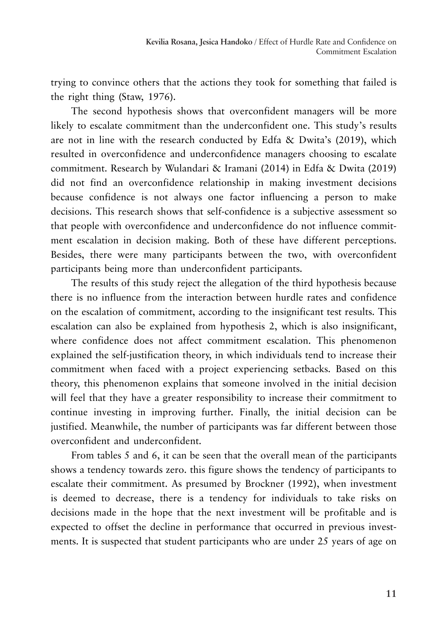trying to convince others that the actions they took for something that failed is the right thing (Staw, 1976).

The second hypothesis shows that overconfident managers will be more likely to escalate commitment than the underconfident one. This study's results are not in line with the research conducted by Edfa & Dwita's (2019), which resulted in overconfidence and underconfidence managers choosing to escalate commitment. Research by Wulandari & Iramani (2014) in Edfa & Dwita (2019) did not find an overconfidence relationship in making investment decisions because confidence is not always one factor influencing a person to make decisions. This research shows that self-confidence is a subjective assessment so that people with overconfidence and underconfidence do not influence commitment escalation in decision making. Both of these have different perceptions. Besides, there were many participants between the two, with overconfident participants being more than underconfident participants.

The results of this study reject the allegation of the third hypothesis because there is no influence from the interaction between hurdle rates and confidence on the escalation of commitment, according to the insignificant test results. This escalation can also be explained from hypothesis 2, which is also insignificant, where confidence does not affect commitment escalation. This phenomenon explained the self-justification theory, in which individuals tend to increase their commitment when faced with a project experiencing setbacks. Based on this theory, this phenomenon explains that someone involved in the initial decision will feel that they have a greater responsibility to increase their commitment to continue investing in improving further. Finally, the initial decision can be justified. Meanwhile, the number of participants was far different between those overconfident and underconfident.

From tables 5 and 6, it can be seen that the overall mean of the participants shows a tendency towards zero. this figure shows the tendency of participants to escalate their commitment. As presumed by Brockner (1992), when investment is deemed to decrease, there is a tendency for individuals to take risks on decisions made in the hope that the next investment will be profitable and is expected to offset the decline in performance that occurred in previous investments. It is suspected that student participants who are under 25 years of age on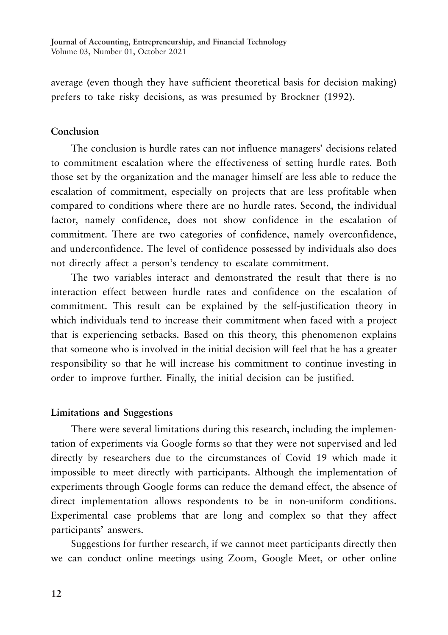average (even though they have sufficient theoretical basis for decision making) prefers to take risky decisions, as was presumed by Brockner (1992).

#### **Conclusion**

The conclusion is hurdle rates can not influence managers' decisions related to commitment escalation where the effectiveness of setting hurdle rates. Both those set by the organization and the manager himself are less able to reduce the escalation of commitment, especially on projects that are less profitable when compared to conditions where there are no hurdle rates. Second, the individual factor, namely confidence, does not show confidence in the escalation of commitment. There are two categories of confidence, namely overconfidence, and underconfidence. The level of confidence possessed by individuals also does not directly affect a person's tendency to escalate commitment.

The two variables interact and demonstrated the result that there is no interaction effect between hurdle rates and confidence on the escalation of commitment. This result can be explained by the self-justification theory in which individuals tend to increase their commitment when faced with a project that is experiencing setbacks. Based on this theory, this phenomenon explains that someone who is involved in the initial decision will feel that he has a greater responsibility so that he will increase his commitment to continue investing in order to improve further. Finally, the initial decision can be justified.

#### **Limitations and Suggestions**

There were several limitations during this research, including the implementation of experiments via Google forms so that they were not supervised and led directly by researchers due to the circumstances of Covid 19 which made it impossible to meet directly with participants. Although the implementation of experiments through Google forms can reduce the demand effect, the absence of direct implementation allows respondents to be in non-uniform conditions. Experimental case problems that are long and complex so that they affect participants' answers.

Suggestions for further research, if we cannot meet participants directly then we can conduct online meetings using Zoom, Google Meet, or other online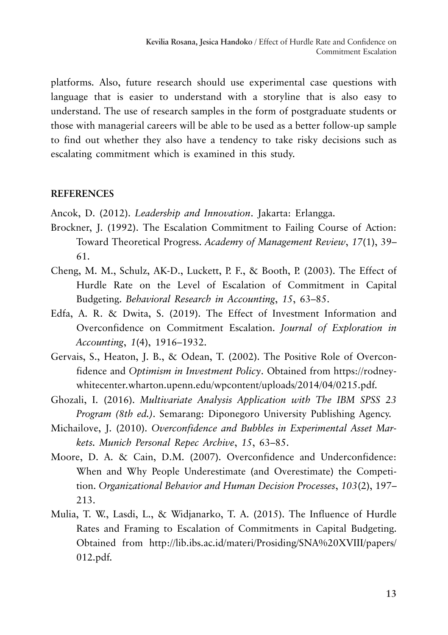platforms. Also, future research should use experimental case questions with language that is easier to understand with a storyline that is also easy to understand. The use of research samples in the form of postgraduate students or those with managerial careers will be able to be used as a better follow-up sample to find out whether they also have a tendency to take risky decisions such as escalating commitment which is examined in this study.

#### **REFERENCES**

Ancok, D. (2012). *Leadership and Innovation*. Jakarta: Erlangga.

- Brockner, J. (1992). The Escalation Commitment to Failing Course of Action: Toward Theoretical Progress. *Academy of Management Review*, *17*(1), 39– 61.
- Cheng, M. M., Schulz, AK-D., Luckett, P. F., & Booth, P. (2003). The Effect of Hurdle Rate on the Level of Escalation of Commitment in Capital Budgeting. *Behavioral Research in Accounting*, *15*, 63–85.
- Edfa, A. R. & Dwita, S. (2019). The Effect of Investment Information and Overconfidence on Commitment Escalation. *Journal of Exploration in Accounting*, *1*(4), 1916–1932.
- Gervais, S., Heaton, J. B., & Odean, T. (2002). The Positive Role of Overconfidence and *Optimism in Investment Policy*. Obtained from https://rodneywhitecenter.wharton.upenn.edu/wpcontent/uploads/2014/04/0215.pdf.
- Ghozali, I. (2016). *Multivariate Analysis Application with The IBM SPSS 23 Program (8th ed.)*. Semarang: Diponegoro University Publishing Agency.
- Michailove, J. (2010). *Overconfidence and Bubbles in Experimental Asset Markets. Munich Personal Repec Archive*, *15*, 63–85.
- Moore, D. A. & Cain, D.M. (2007). Overconfidence and Underconfidence: When and Why People Underestimate (and Overestimate) the Competition. *Organizational Behavior and Human Decision Processes*, *103*(2), 197– 213.
- Mulia, T. W., Lasdi, L., & Widjanarko, T. A. (2015). The Influence of Hurdle Rates and Framing to Escalation of Commitments in Capital Budgeting. Obtained from http://lib.ibs.ac.id/materi/Prosiding/SNA%20XVIII/papers/ 012.pdf.